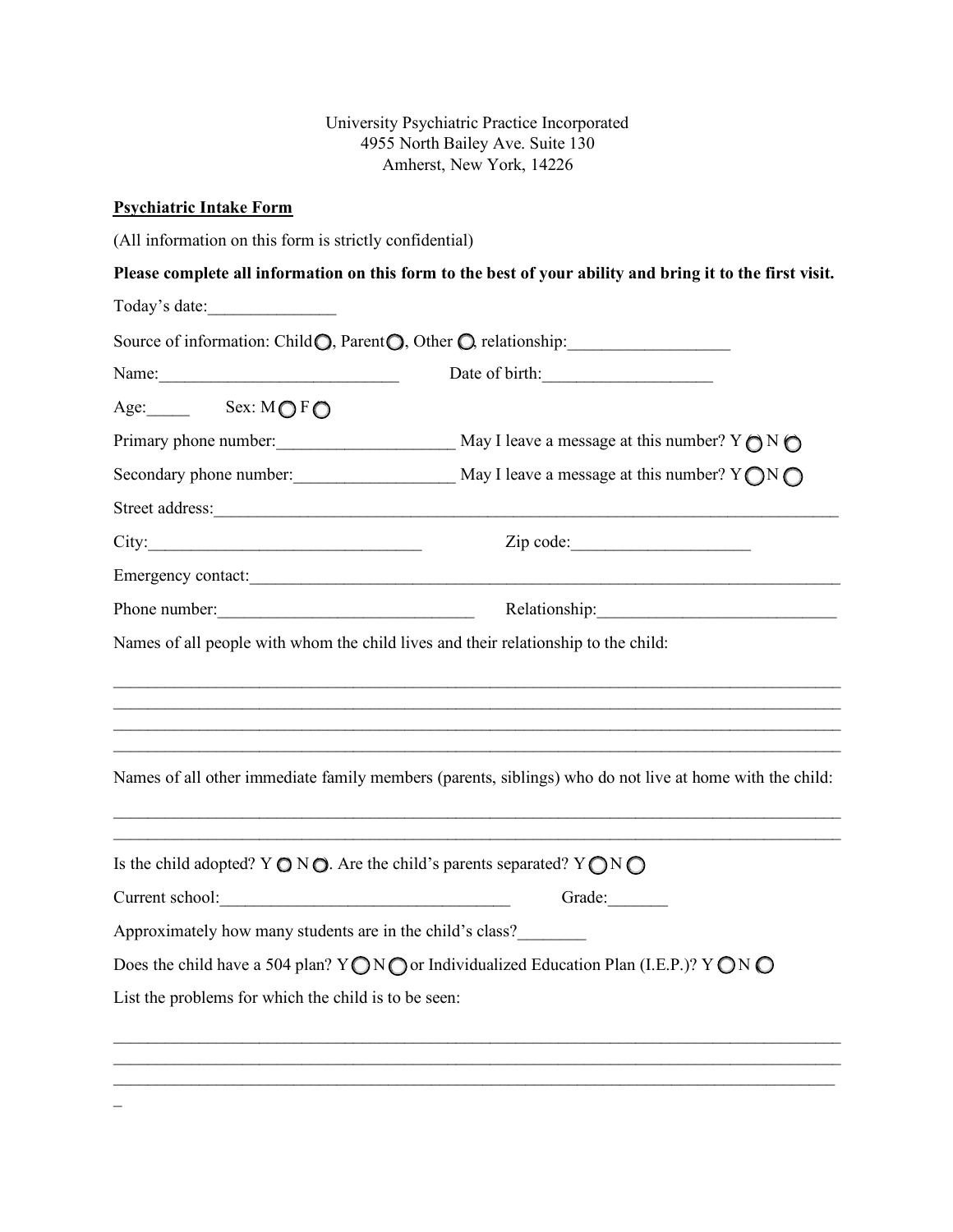University Psychiatric Practice Incorporated 4955 North Bailey Ave. Suite 130 Amherst, New York, 14226

# **Psychiatric Intake Form**

(All information on this form is strictly confidential)

**Please complete all information on this form to the best of your ability and bring it to the first visit.** 

Today's date:

| Source of information: Child O, Parent O, Other O, relationship:                                                           |
|----------------------------------------------------------------------------------------------------------------------------|
| Date of birth:                                                                                                             |
|                                                                                                                            |
|                                                                                                                            |
|                                                                                                                            |
| Street address:                                                                                                            |
| City:                                                                                                                      |
|                                                                                                                            |
| Phone number: Relationship: Relationship:                                                                                  |
| Names of all people with whom the child lives and their relationship to the child:                                         |
| Names of all other immediate family members (parents, siblings) who do not live at home with the child:                    |
| Is the child adopted? Y $\bigcirc$ N $\bigcirc$ . Are the child's parents separated? Y $\bigcirc$ N $\bigcirc$             |
| Current school:<br>Grade:                                                                                                  |
| Approximately how many students are in the child's class?                                                                  |
| Does the child have a 504 plan? $Y \bigcirc N \bigcirc$ or Individualized Education Plan (I.E.P.)? $Y \bigcirc N \bigcirc$ |
| List the problems for which the child is to be seen:                                                                       |
|                                                                                                                            |
|                                                                                                                            |
|                                                                                                                            |

 $\overline{\phantom{0}}$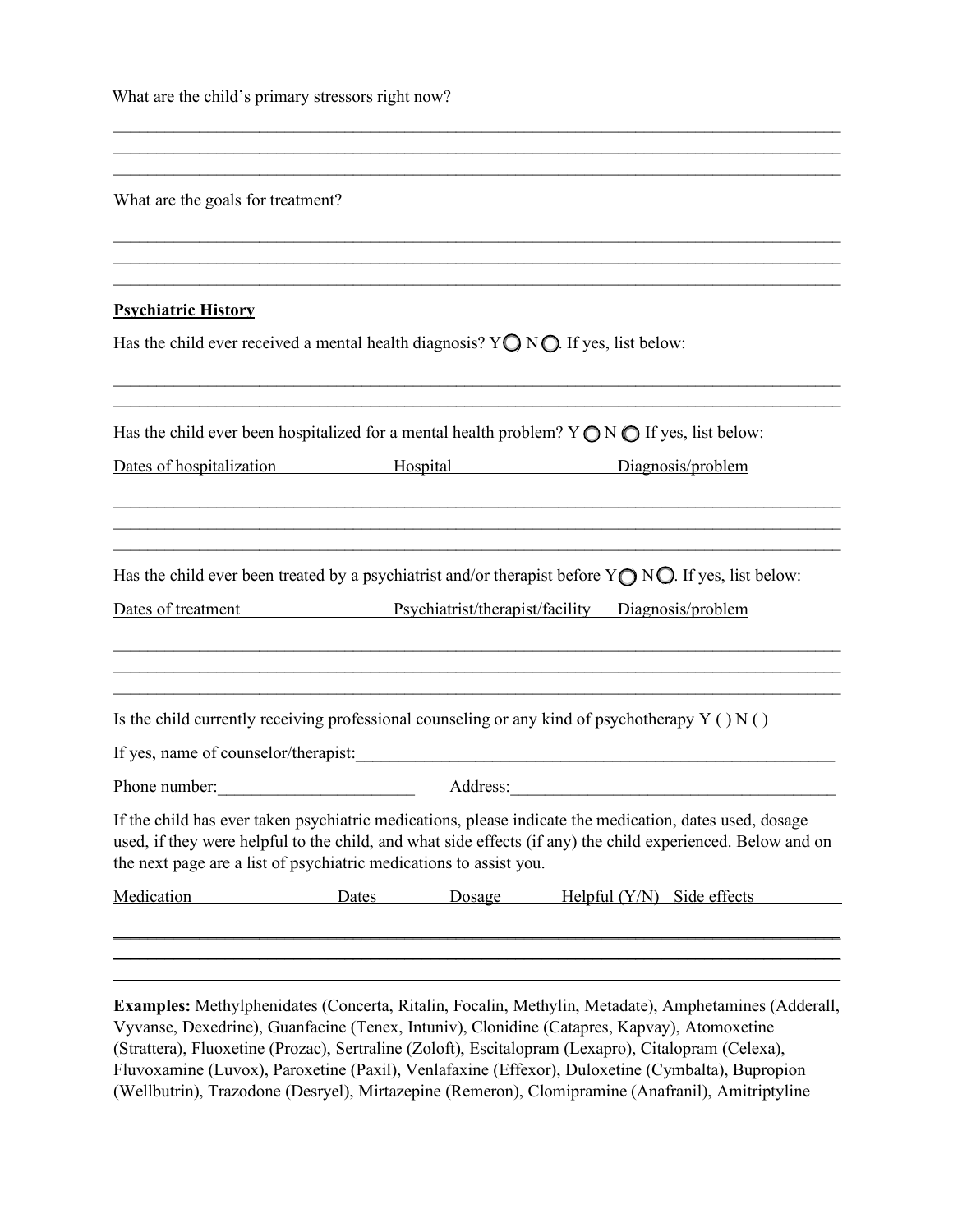| What are the child's primary stressors right now? |  |
|---------------------------------------------------|--|
|---------------------------------------------------|--|

|  |  | What are the goals for treatment? |
|--|--|-----------------------------------|
|  |  |                                   |

#### **Psychiatric History**

Has the child ever received a mental health diagnosis?  $Y \bigcirc N \bigcirc$ . If yes, list below:

|                                                                    | Has the child ever been hospitalized for a mental health problem? $Y \bigcirc N \bigcirc F$ if yes, list below:                                                                                                        |                   |
|--------------------------------------------------------------------|------------------------------------------------------------------------------------------------------------------------------------------------------------------------------------------------------------------------|-------------------|
| Dates of hospitalization                                           | Hospital <b>Exercise Service Exercise Service</b> Service <b>EXECUTE:</b>                                                                                                                                              | Diagnosis/problem |
|                                                                    | Has the child ever been treated by a psychiatrist and/or therapist before $Y \bigcirc N \bigcirc$ . If yes, list below:                                                                                                |                   |
| Dates of treatment                                                 | Psychiatrist/therapist/facility                                                                                                                                                                                        | Diagnosis/problem |
|                                                                    | Is the child currently receiving professional counseling or any kind of psychotherapy $Y( ) N( )$                                                                                                                      |                   |
|                                                                    |                                                                                                                                                                                                                        |                   |
| Phone number:                                                      |                                                                                                                                                                                                                        | Address: No. 1998 |
|                                                                    | If the child has ever taken psychiatric medications, please indicate the medication, dates used, dosage<br>used, if they were helpful to the child, and what side effects (if any) the child experienced. Below and on |                   |
| the next page are a list of psychiatric medications to assist you. |                                                                                                                                                                                                                        |                   |

 $\mathcal{L}_\text{max} = \mathcal{L}_\text{max} = \mathcal{L}_\text{max} = \mathcal{L}_\text{max} = \mathcal{L}_\text{max} = \mathcal{L}_\text{max} = \mathcal{L}_\text{max} = \mathcal{L}_\text{max} = \mathcal{L}_\text{max} = \mathcal{L}_\text{max} = \mathcal{L}_\text{max} = \mathcal{L}_\text{max} = \mathcal{L}_\text{max} = \mathcal{L}_\text{max} = \mathcal{L}_\text{max} = \mathcal{L}_\text{max} = \mathcal{L}_\text{max} = \mathcal{L}_\text{max} = \mathcal{$  $\mathcal{L}_\text{max} = \mathcal{L}_\text{max} = \mathcal{L}_\text{max} = \mathcal{L}_\text{max} = \mathcal{L}_\text{max} = \mathcal{L}_\text{max} = \mathcal{L}_\text{max} = \mathcal{L}_\text{max} = \mathcal{L}_\text{max} = \mathcal{L}_\text{max} = \mathcal{L}_\text{max} = \mathcal{L}_\text{max} = \mathcal{L}_\text{max} = \mathcal{L}_\text{max} = \mathcal{L}_\text{max} = \mathcal{L}_\text{max} = \mathcal{L}_\text{max} = \mathcal{L}_\text{max} = \mathcal{$ 

 $\mathcal{L}_\text{max} = \mathcal{L}_\text{max} = \mathcal{L}_\text{max} = \mathcal{L}_\text{max} = \mathcal{L}_\text{max} = \mathcal{L}_\text{max} = \mathcal{L}_\text{max} = \mathcal{L}_\text{max} = \mathcal{L}_\text{max} = \mathcal{L}_\text{max} = \mathcal{L}_\text{max} = \mathcal{L}_\text{max} = \mathcal{L}_\text{max} = \mathcal{L}_\text{max} = \mathcal{L}_\text{max} = \mathcal{L}_\text{max} = \mathcal{L}_\text{max} = \mathcal{L}_\text{max} = \mathcal{$  $\mathcal{L}_\text{max} = \mathcal{L}_\text{max} = \mathcal{L}_\text{max} = \mathcal{L}_\text{max} = \mathcal{L}_\text{max} = \mathcal{L}_\text{max} = \mathcal{L}_\text{max} = \mathcal{L}_\text{max} = \mathcal{L}_\text{max} = \mathcal{L}_\text{max} = \mathcal{L}_\text{max} = \mathcal{L}_\text{max} = \mathcal{L}_\text{max} = \mathcal{L}_\text{max} = \mathcal{L}_\text{max} = \mathcal{L}_\text{max} = \mathcal{L}_\text{max} = \mathcal{L}_\text{max} = \mathcal{$ 

**Examples:** Methylphenidates (Concerta, Ritalin, Focalin, Methylin, Metadate), Amphetamines (Adderall, Vyvanse, Dexedrine), Guanfacine (Tenex, Intuniv), Clonidine (Catapres, Kapvay), Atomoxetine (Strattera), Fluoxetine (Prozac), Sertraline (Zoloft), Escitalopram (Lexapro), Citalopram (Celexa), Fluvoxamine (Luvox), Paroxetine (Paxil), Venlafaxine (Effexor), Duloxetine (Cymbalta), Bupropion (Wellbutrin), Trazodone (Desryel), Mirtazepine (Remeron), Clomipramine (Anafranil), Amitriptyline

\_\_\_\_\_\_\_\_\_\_\_\_\_\_\_\_\_\_\_\_\_\_\_\_\_\_\_\_\_\_\_\_\_\_\_\_\_\_\_\_\_\_\_\_\_\_\_\_\_\_\_\_\_\_\_\_\_\_\_\_\_\_\_\_\_\_\_\_\_\_\_\_\_\_\_\_\_\_\_\_\_\_\_\_\_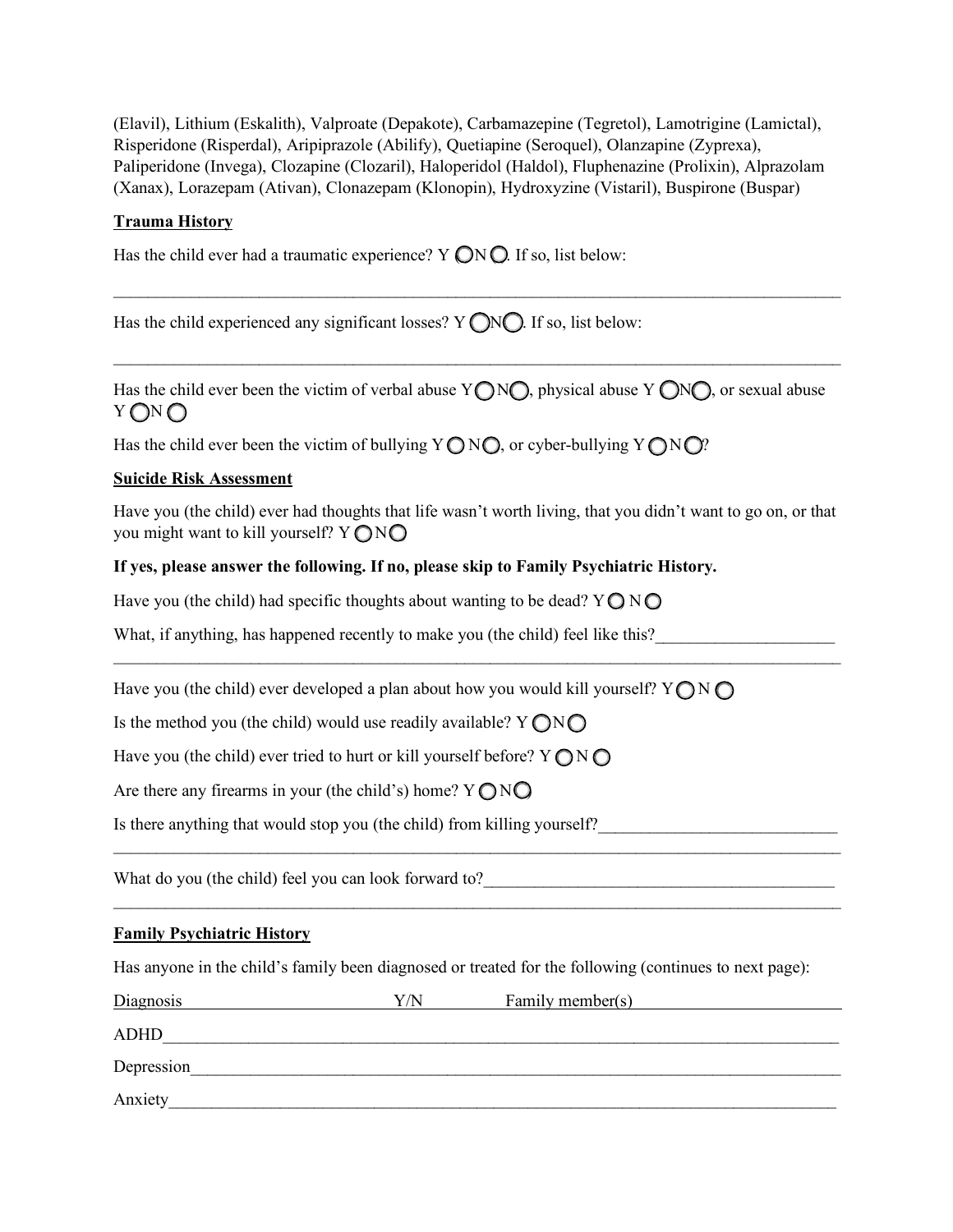(Elavil), Lithium (Eskalith), Valproate (Depakote), Carbamazepine (Tegretol), Lamotrigine (Lamictal), Risperidone (Risperdal), Aripiprazole (Abilify), Quetiapine (Seroquel), Olanzapine (Zyprexa), Paliperidone (Invega), Clozapine (Clozaril), Haloperidol (Haldol), Fluphenazine (Prolixin), Alprazolam (Xanax), Lorazepam (Ativan), Clonazepam (Klonopin), Hydroxyzine (Vistaril), Buspirone (Buspar)

## **Trauma History**

Has the child ever had a traumatic experience?  $Y \bigcirc N \bigcirc$ . If so, list below:

Has the child experienced any significant losses?  $Y \cap N \cap I$  if so, list below:

Has the child ever been the victim of verbal abuse  $Y \bigcap N \bigcap$ , physical abuse  $Y \bigcap N \bigcap$ , or sexual abuse  $Y \bigcap N \bigcap$ 

 $\_$  , and the contribution of the contribution of the contribution of the contribution of the contribution of  $\mathcal{L}_\text{max}$ 

 $\mathcal{L}_\text{max} = \mathcal{L}_\text{max} = \mathcal{L}_\text{max} = \mathcal{L}_\text{max} = \mathcal{L}_\text{max} = \mathcal{L}_\text{max} = \mathcal{L}_\text{max} = \mathcal{L}_\text{max} = \mathcal{L}_\text{max} = \mathcal{L}_\text{max} = \mathcal{L}_\text{max} = \mathcal{L}_\text{max} = \mathcal{L}_\text{max} = \mathcal{L}_\text{max} = \mathcal{L}_\text{max} = \mathcal{L}_\text{max} = \mathcal{L}_\text{max} = \mathcal{L}_\text{max} = \mathcal{$ 

Has the child ever been the victim of bullying  $Y \bigcap N \bigcap$ , or cyber-bullying  $Y \bigcap N \bigcap?$ 

#### **Suicide Risk Assessment**

Have you (the child) ever had thoughts that life wasn't worth living, that you didn't want to go on, or that you might want to kill yourself?  $Y \bigcap N \bigcap$ 

 $\_$ 

 $\mathcal{L}_\text{max} = \mathcal{L}_\text{max} = \mathcal{L}_\text{max} = \mathcal{L}_\text{max} = \mathcal{L}_\text{max} = \mathcal{L}_\text{max} = \mathcal{L}_\text{max} = \mathcal{L}_\text{max} = \mathcal{L}_\text{max} = \mathcal{L}_\text{max} = \mathcal{L}_\text{max} = \mathcal{L}_\text{max} = \mathcal{L}_\text{max} = \mathcal{L}_\text{max} = \mathcal{L}_\text{max} = \mathcal{L}_\text{max} = \mathcal{L}_\text{max} = \mathcal{L}_\text{max} = \mathcal{$ 

 $\mathcal{L}_\text{max} = \mathcal{L}_\text{max} = \mathcal{L}_\text{max} = \mathcal{L}_\text{max} = \mathcal{L}_\text{max} = \mathcal{L}_\text{max} = \mathcal{L}_\text{max} = \mathcal{L}_\text{max} = \mathcal{L}_\text{max} = \mathcal{L}_\text{max} = \mathcal{L}_\text{max} = \mathcal{L}_\text{max} = \mathcal{L}_\text{max} = \mathcal{L}_\text{max} = \mathcal{L}_\text{max} = \mathcal{L}_\text{max} = \mathcal{L}_\text{max} = \mathcal{L}_\text{max} = \mathcal{$ 

### **If yes, please answer the following. If no, please skip to Family Psychiatric History.**

Have you (the child) had specific thoughts about wanting to be dead?  $Y \bigcirc N \bigcirc$ 

What, if anything, has happened recently to make you (the child) feel like this?

Have you (the child) ever developed a plan about how you would kill yourself?  $Y \cap N \cap$ 

Is the method you (the child) would use readily available?  $Y \bigcap N \bigcap$ 

Have you (the child) ever tried to hurt or kill yourself before?  $Y \bigcap N \bigcap$ 

Are there any firearms in your (the child's) home?  $Y \bigcap N \bigcap$ 

Is there anything that would stop you (the child) from killing yourself?

What do you (the child) feel you can look forward to?\_\_\_\_\_\_\_\_\_\_\_\_\_\_\_\_\_\_\_\_\_\_\_\_\_\_\_\_\_\_\_\_\_\_\_\_\_\_\_\_\_

#### **Family Psychiatric History**

Has anyone in the child's family been diagnosed or treated for the following (continues to next page):

| <b>Diagnosis</b> | Y/N | Family member(s) |
|------------------|-----|------------------|
| <b>ADHD</b>      |     |                  |
| Depression       |     |                  |
| Anxiety          |     |                  |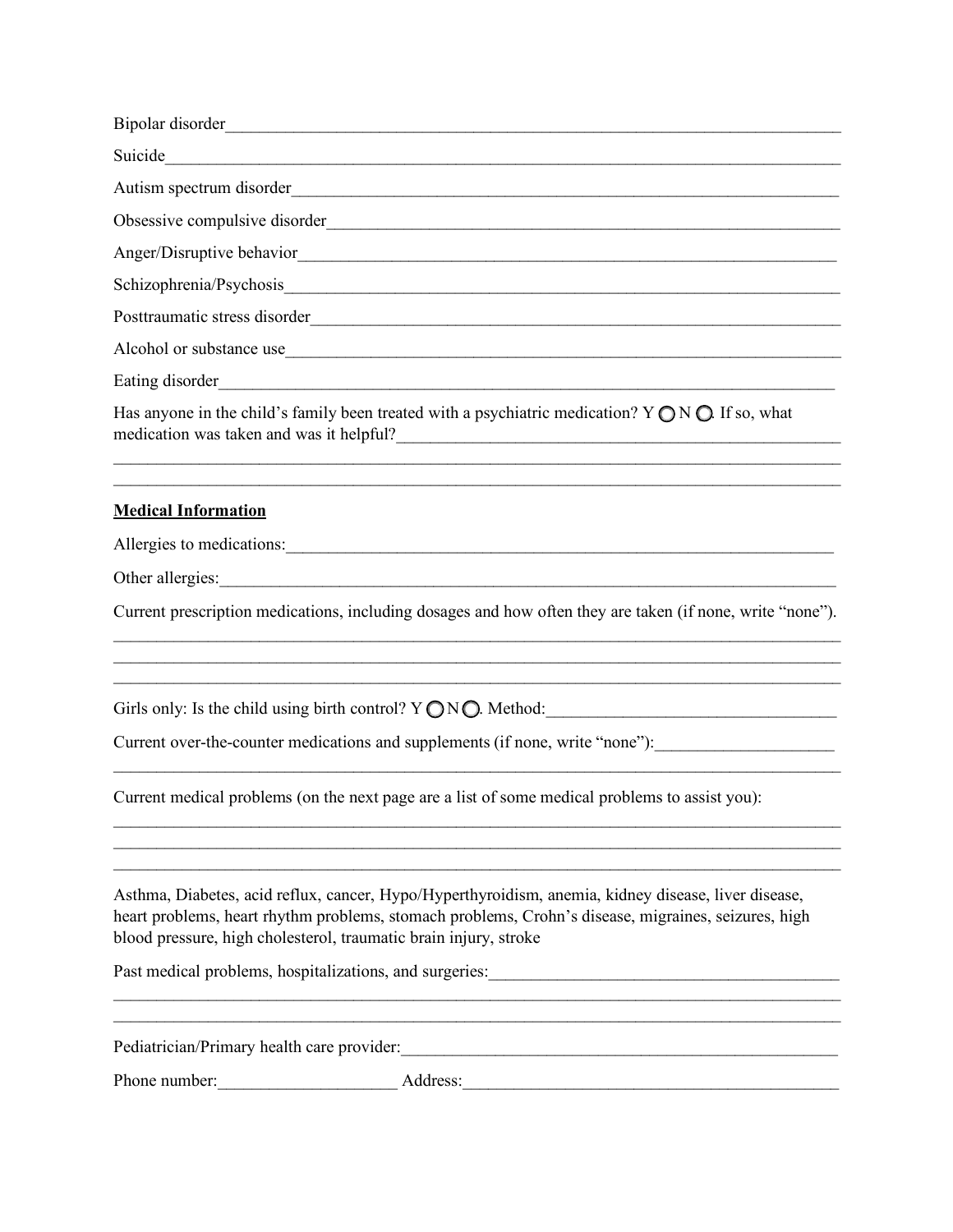|                                                                  | Has anyone in the child's family been treated with a psychiatric medication? $Y \bigcirc N \bigcirc$ . If so, what<br>medication was taken and was it helpful?                                                                                                                                                              |
|------------------------------------------------------------------|-----------------------------------------------------------------------------------------------------------------------------------------------------------------------------------------------------------------------------------------------------------------------------------------------------------------------------|
| <b>Medical Information</b>                                       |                                                                                                                                                                                                                                                                                                                             |
|                                                                  | Allergies to medications:                                                                                                                                                                                                                                                                                                   |
|                                                                  | Other allergies: <u>experience</u> and the contract of the contract of the contract of the contract of the contract of the contract of the contract of the contract of the contract of the contract of the contract of the contract                                                                                         |
|                                                                  | Current prescription medications, including dosages and how often they are taken (if none, write "none").<br>,我们也不能在这里的时候,我们也不能在这里的时候,我们也不能会不能会不能会不能会不能会不能会不能会不能会不能会不能会。<br>第2012章 我们的时候,我们的时候,我们的时候,我们的时候,我们的时候,我们的时候,我们的时候,我们的时候,我们的时候,我们的时候,我们的时候,我们的时候,我<br><u> 1989 - Johann Stoff, Amerikaansk politiker (* 1908)</u> |
|                                                                  | Girls only: Is the child using birth control? $Y \bigcirc N \bigcirc$ . Method:                                                                                                                                                                                                                                             |
|                                                                  | Current over-the-counter medications and supplements (if none, write "none"): _____________________                                                                                                                                                                                                                         |
|                                                                  | Current medical problems (on the next page are a list of some medical problems to assist you):                                                                                                                                                                                                                              |
| blood pressure, high cholesterol, traumatic brain injury, stroke | Asthma, Diabetes, acid reflux, cancer, Hypo/Hyperthyroidism, anemia, kidney disease, liver disease,<br>heart problems, heart rhythm problems, stomach problems, Crohn's disease, migraines, seizures, high                                                                                                                  |
|                                                                  |                                                                                                                                                                                                                                                                                                                             |
| Pediatrician/Primary health care provider:                       | <u> 1988 - Jan James James, primeira amerikano (h. 1988).</u>                                                                                                                                                                                                                                                               |
|                                                                  |                                                                                                                                                                                                                                                                                                                             |
|                                                                  |                                                                                                                                                                                                                                                                                                                             |